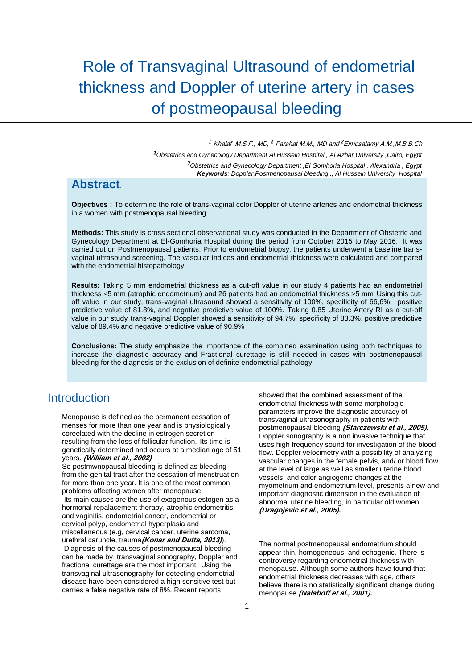# Role of Transvaginal Ultrasound of endometrial thickness and Doppler of uterine artery in cases of postmeopausal bleeding

<sup>1</sup> Khalaf M.S.F., MD, <sup>1</sup> Farahat M.M., MD and <sup>2</sup> Elmosalamy A.M., M.B.B.Ch *¹Obstetrics and Gynecology Department Al Hussein Hospital , Al Azhar University ,Cairo, Egypt ²Obstetrics and Gynecology Department ,El Gomhoria Hospital , Alexandria , Egypt Keywords: Doppler,Postmenopausal bleeding ., Al Hussein University Hospital* 

## **Abstract**.

**Objectives :** To determine the role of trans-vaginal color Doppler of uterine arteries and endometrial thickness in a women with postmenopausal bleeding.

**Methods:** This study is cross sectional observational study was conducted in the Department of Obstetric and Gynecology Department at El-Gomhoria Hospital during the period from October 2015 to May 2016.. It was carried out on Postmenopausal patients. Prior to endometrial biopsy, the patients underwent a baseline transvaginal ultrasound screening. The vascular indices and endometrial thickness were calculated and compared with the endometrial histopathology.

**Results:** Taking 5 mm endometrial thickness as a cut-off value in our study 4 patients had an endometrial thickness <5 mm (atrophic endometrium) and 26 patients had an endometrial thickness >5 mm Using this cutoff value in our study, trans-vaginal ultrasound showed a sensitivity of 100%, specificity of 66,6%, positive predictive value of 81.8%, and negative predictive value of 100%. Taking 0.85 Uterine Artery RI as a cut-off value in our study trans-vaginal Doppler showed a sensitivity of 94.7%, specificity of 83.3%, positive predictive value of 89.4% and negative predictive value of 90.9%

**Conclusions:** The study emphasize the importance of the combined examination using both techniques to increase the diagnostic accuracy and Fractional curettage is still needed in cases with postmenopausal bleeding for the diagnosis or the exclusion of definite endometrial pathology.

## **Introduction**

Menopause is defined as the permanent cessation of menses for more than one year and is physiologically coreelated with the decline in estrogen secretion resulting from the loss of follicular function. Its time is genetically determined and occurs at a median age of 51 years. **(William et al., 2002)**

So postmwnopausal bleeding is defined as bleeding from the genital tract after the cessation of menstruation for more than one year. It is one of the most common problems affecting women after menopause.

Its main causes are the use of exogenous estogen as a hormonal repalacement therapy, atrophic endometritis and vaginitis, endometrial cancer, endometrial or cervical polyp, endometrial hyperplasia and miscellaneous (e.g, cervical cancer, uterine sarcoma, urethral caruncle, trauma**(Konar and Dutta, 2013)**).

Diagnosis of the causes of postmenopausal bleeding can be made by transvaginal sonography, Doppler and fractional curettage are the most important. Using the transvaginal ultrasonography for detecting endometrial disease have been considered a high sensitive test but carries a false negative rate of 8%. Recent reports

showed that the combined assessment of the endometrial thickness with some morphologic parameters improve the diagnostic accuracy of transvaginal ultrasonography in patients with postmenopausal bleeding **(Starczewski et al., 2005).** Doppler sonography is a non invasive technique that uses high frequency sound for investigation of the blood flow. Doppler velocimetry with a possibility of analyzing vascular changes in the female pelvis, and/ or blood flow at the level of large as well as smaller uterine blood vessels, and color angiogenic changes at the myometrium and endometrium level, presents a new and important diagnostic dimension in the evaluation of abnormal uterine bleeding, in particular old women **(Dragojevic et al., 2005).**

The normal postmenopausal endometrium should appear thin, homogeneous, and echogenic. There is controversy regarding endometrial thickness with menopause. Although some authors have found that endometrial thickness decreases with age, others believe there is no statistically significant change during menopause **(Nalaboff et al., 2001).**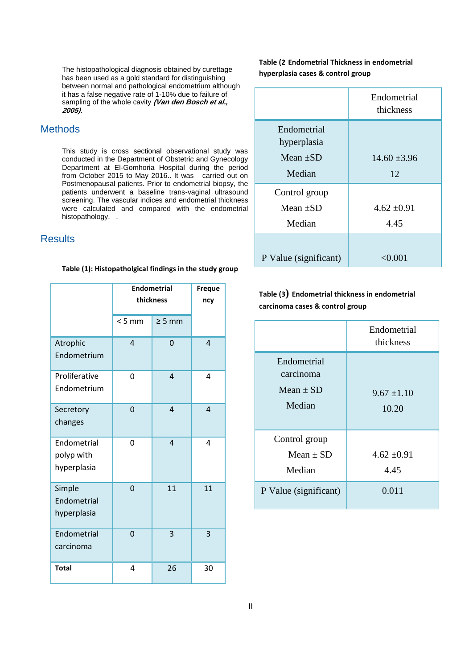The histopathological diagnosis obtained by curettage has been used as a gold standard for distinguishing between normal and pathological endometrium although it has a false negative rate of 1-10% due to failure of sampling of the whole cavity **(Van den Bosch et al., 2005)**.

## **Methods**

This study is cross sectional observational study was conducted in the Department of Obstetric and Gynecology Department at El-Gomhoria Hospital during the period from October 2015 to May 2016.. It was carried out on Postmenopausal patients. Prior to endometrial biopsy, the patients underwent a baseline trans-vaginal ultrasound screening. The vascular indices and endometrial thickness were calculated and compared with the endometrial histopathology. .

### **Results**

#### **Table (1): Histopatholgical findings in the study group**

|                                          | <b>Endometrial</b><br>thickness |                | <b>Freque</b><br>ncy |
|------------------------------------------|---------------------------------|----------------|----------------------|
|                                          | < 5 mm                          | $\geq 5$ mm    |                      |
| Atrophic<br>Endometrium                  | 4                               | 0              | $\overline{4}$       |
| Proliferative<br>Endometrium             | 0                               | $\overline{4}$ | 4                    |
| Secretory<br>changes                     | 0                               | 4              | $\overline{4}$       |
| Endometrial<br>polyp with<br>hyperplasia | 0                               | $\overline{4}$ | 4                    |
| Simple<br>Endometrial<br>hyperplasia     | 0                               | 11             | 11                   |
| Endometrial<br>carcinoma                 | 0                               | 3              | 3                    |
| <b>Total</b>                             | 4                               | 26             | 30                   |

**Table (2 Endometrial Thickness in endometrial hyperplasia cases & control group** 

|                                             | Endometrial<br>thickness |
|---------------------------------------------|--------------------------|
| Endometrial<br>hyperplasia<br>Mean $\pm SD$ | $14.60 \pm 3.96$         |
| Median                                      | 12                       |
| Control group                               |                          |
| Mean $\pm SD$                               | $4.62 \pm 0.91$          |
| Median                                      | 4.45                     |
|                                             |                          |
| P Value (significant)                       | $<\!\!0.001$             |

**Table (3) Endometrial thickness in endometrial carcinoma cases & control group**

|                                                     | Endometrial<br>thickness |
|-----------------------------------------------------|--------------------------|
| Endometrial<br>carcinoma<br>Mean $\pm$ SD<br>Median | $9.67 \pm 1.10$<br>10.20 |
| Control group<br>Mean $\pm$ SD<br>Median            | $4.62 \pm 0.91$<br>4.45  |
| P Value (significant)                               | 0.011                    |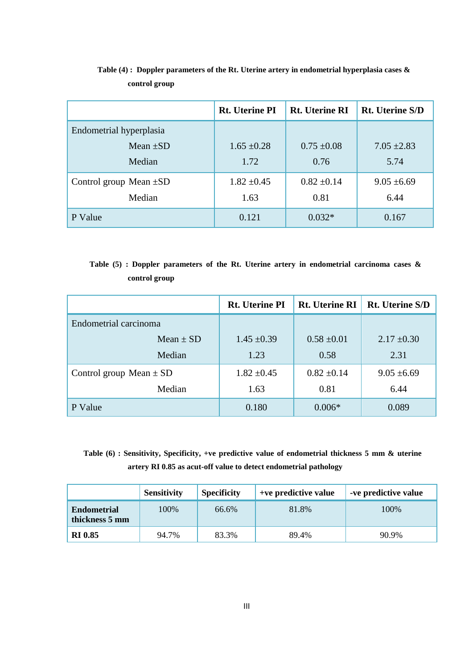|                             | <b>Rt.</b> Uterine PI | <b>Rt. Uterine RI</b> | <b>Rt.</b> Uterine S/D |
|-----------------------------|-----------------------|-----------------------|------------------------|
| Endometrial hyperplasia     |                       |                       |                        |
| Mean $\pm SD$               | $1.65 \pm 0.28$       | $0.75 \pm 0.08$       | $7.05 \pm 2.83$        |
| Median                      | 1.72                  | 0.76                  | 5.74                   |
| Control group Mean $\pm SD$ | $1.82 \pm 0.45$       | $0.82 \pm 0.14$       | $9.05 \pm 6.69$        |
| Median                      | 1.63                  | 0.81                  | 6.44                   |
| P Value                     | 0.121                 | $0.032*$              | 0.167                  |

 **Table (4) : Doppler parameters of the Rt. Uterine artery in endometrial hyperplasia cases & control group**

 **Table (5) : Doppler parameters of the Rt. Uterine artery in endometrial carcinoma cases & control group** 

|                             | <b>Rt.</b> Uterine PI | <b>Rt.</b> Uterine RI | <b>Rt.</b> Uterine S/D |
|-----------------------------|-----------------------|-----------------------|------------------------|
| Endometrial carcinoma       |                       |                       |                        |
| $Mean \pm SD$               | $1.45 \pm 0.39$       | $0.58 \pm 0.01$       | $2.17 \pm 0.30$        |
| Median                      | 1.23                  | 0.58                  | 2.31                   |
| Control group Mean $\pm$ SD | $1.82 \pm 0.45$       | $0.82 \pm 0.14$       | $9.05 \pm 6.69$        |
| Median                      | 1.63                  | 0.81                  | 6.44                   |
| P Value                     | 0.180                 | $0.006*$              | 0.089                  |

 **Table (6) : Sensitivity, Specificity, +ve predictive value of endometrial thickness 5 mm & uterine artery RI 0.85 as acut-off value to detect endometrial pathology**

|                                      | <b>Sensitivity</b> | <b>Specificity</b> | +ve predictive value | -ve predictive value |
|--------------------------------------|--------------------|--------------------|----------------------|----------------------|
| <b>Endometrial</b><br>thickness 5 mm | 100%               | 66.6%              | 81.8%                | 100\%                |
| <b>RI 0.85</b>                       | 94.7%              | 83.3%              | 89.4%                | 90.9%                |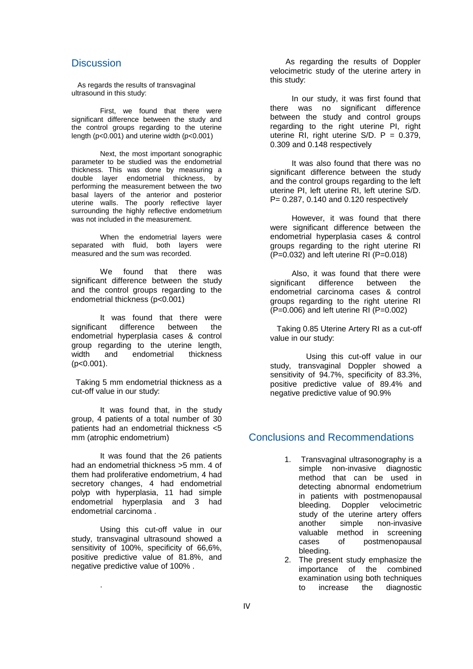#### **Discussion**

As regards the results of transvaginal ultrasound in this study:

First, we found that there were significant difference between the study and the control groups regarding to the uterine length (p<0.001) and uterine width (p<0.001)

Next, the most important sonographic parameter to be studied was the endometrial thickness. This was done by measuring a double layer endometrial thickness, by performing the measurement between the two basal layers of the anterior and posterior uterine walls. The poorly reflective layer surrounding the highly reflective endometrium was not included in the measurement.

When the endometrial layers were separated with fluid, both layers were measured and the sum was recorded.

We found that there was significant difference between the study and the control groups regarding to the endometrial thickness (p<0.001)

It was found that there were significant difference between the endometrial hyperplasia cases & control group regarding to the uterine length, width and endometrial thickness  $(p<0.001)$ .

Taking 5 mm endometrial thickness as a cut-off value in our study:

It was found that, in the study group, 4 patients of a total number of 30 patients had an endometrial thickness <5 mm (atrophic endometrium)

It was found that the 26 patients had an endometrial thickness >5 mm. 4 of them had proliferative endometrium, 4 had secretory changes, 4 had endometrial polyp with hyperplasia, 11 had simple endometrial hyperplasia and 3 had endometrial carcinoma .

Using this cut-off value in our study, transvaginal ultrasound showed a sensitivity of 100%, specificity of 66,6%, positive predictive value of 81.8%, and negative predictive value of 100% .

.

 As regarding the results of Doppler velocimetric study of the uterine artery in this study:

In our study, it was first found that there was no significant difference between the study and control groups regarding to the right uterine PI, right uterine RI, right uterine  $S/D. P = 0.379$ , 0.309 and 0.148 respectively

It was also found that there was no significant difference between the study and the control groups regarding to the left uterine PI, left uterine RI, left uterine S/D. P= 0.287, 0.140 and 0.120 respectively

However, it was found that there were significant difference between the endometrial hyperplasia cases & control groups regarding to the right uterine RI (P=0.032) and left uterine RI (P=0.018)

Also, it was found that there were significant difference between the endometrial carcinoma cases & control groups regarding to the right uterine RI  $(P=0.006)$  and left uterine RI  $(P=0.002)$ 

 Taking 0.85 Uterine Artery RI as a cut-off value in our study:

Using this cut-off value in our study, transvaginal Doppler showed a sensitivity of 94.7%, specificity of 83.3%, positive predictive value of 89.4% and negative predictive value of 90.9%

### Conclusions and Recommendations

- 1. Transvaginal ultrasonography is a simple non-invasive diagnostic method that can be used in detecting abnormal endometrium in patients with postmenopausal bleeding. Doppler velocimetric study of the uterine artery offers another simple non-invasive valuable method in screening cases of postmenopausal bleeding.
- 2. The present study emphasize the importance of the combined examination using both techniques to increase the diagnostic